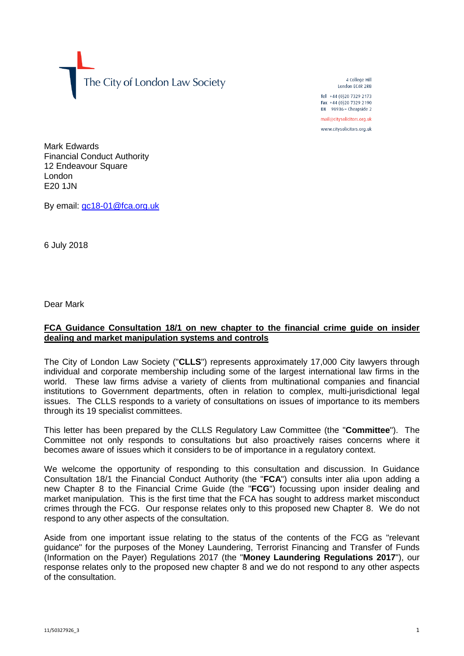The City of London Law Society

4 College Hill London FC4R 2RB

Tel +44 (0)20 7329 2173 Fax +44 (0)20 7329 2190 DX  $98936$  - Cheapside 2 mail@citysolicitors.org.uk

www.citysolicitors.org.uk

Mark Edwards Financial Conduct Authority 12 Endeavour Square London E20 1JN

By email: [gc18-01@fca.org.uk](mailto:gc18-01@fca.org.uk)

6 July 2018

Dear Mark

## **FCA Guidance Consultation 18/1 on new chapter to the financial crime guide on insider dealing and market manipulation systems and controls**

The City of London Law Society ("**CLLS**") represents approximately 17,000 City lawyers through individual and corporate membership including some of the largest international law firms in the world. These law firms advise a variety of clients from multinational companies and financial institutions to Government departments, often in relation to complex, multi-jurisdictional legal issues. The CLLS responds to a variety of consultations on issues of importance to its members through its 19 specialist committees.

This letter has been prepared by the CLLS Regulatory Law Committee (the "**Committee**"). The Committee not only responds to consultations but also proactively raises concerns where it becomes aware of issues which it considers to be of importance in a regulatory context.

We welcome the opportunity of responding to this consultation and discussion. In Guidance Consultation 18/1 the Financial Conduct Authority (the "**FCA**") consults inter alia upon adding a new Chapter 8 to the Financial Crime Guide (the "**FCG**") focussing upon insider dealing and market manipulation. This is the first time that the FCA has sought to address market misconduct crimes through the FCG. Our response relates only to this proposed new Chapter 8. We do not respond to any other aspects of the consultation.

Aside from one important issue relating to the status of the contents of the FCG as "relevant guidance" for the purposes of the Money Laundering, Terrorist Financing and Transfer of Funds (Information on the Payer) Regulations 2017 (the "**Money Laundering Regulations 2017**"), our response relates only to the proposed new chapter 8 and we do not respond to any other aspects of the consultation.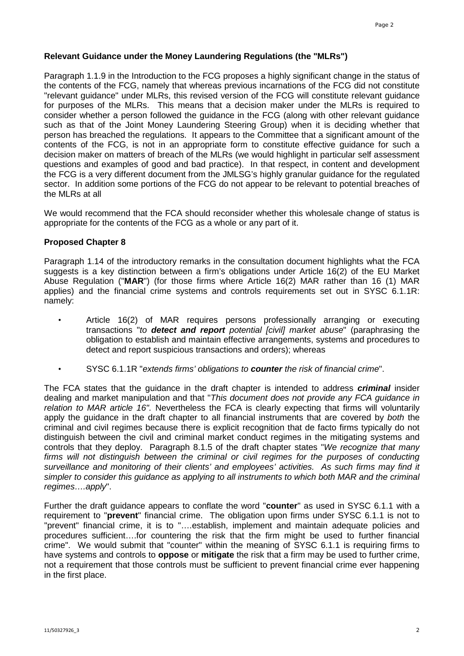## **Relevant Guidance under the Money Laundering Regulations (the "MLRs")**

Paragraph 1.1.9 in the Introduction to the FCG proposes a highly significant change in the status of the contents of the FCG, namely that whereas previous incarnations of the FCG did not constitute "relevant guidance" under MLRs, this revised version of the FCG will constitute relevant guidance for purposes of the MLRs. This means that a decision maker under the MLRs is required to consider whether a person followed the guidance in the FCG (along with other relevant guidance such as that of the Joint Money Laundering Steering Group) when it is deciding whether that person has breached the regulations. It appears to the Committee that a significant amount of the contents of the FCG, is not in an appropriate form to constitute effective guidance for such a decision maker on matters of breach of the MLRs (we would highlight in particular self assessment questions and examples of good and bad practice). In that respect, in content and development the FCG is a very different document from the JMLSG's highly granular guidance for the regulated sector. In addition some portions of the FCG do not appear to be relevant to potential breaches of the MLRs at all

We would recommend that the FCA should reconsider whether this wholesale change of status is appropriate for the contents of the FCG as a whole or any part of it.

## **Proposed Chapter 8**

Paragraph 1.14 of the introductory remarks in the consultation document highlights what the FCA suggests is a key distinction between a firm's obligations under Article 16(2) of the EU Market Abuse Regulation ("**MAR**") (for those firms where Article 16(2) MAR rather than 16 (1) MAR applies) and the financial crime systems and controls requirements set out in SYSC 6.1.1R: namely:

- Article 16(2) of MAR requires persons professionally arranging or executing transactions "*to detect and report potential [civil] market abuse*" (paraphrasing the obligation to establish and maintain effective arrangements, systems and procedures to detect and report suspicious transactions and orders); whereas
- SYSC 6.1.1R "*extends firms' obligations to counter the risk of financial crime*".

The FCA states that the guidance in the draft chapter is intended to address *criminal* insider dealing and market manipulation and that "*This document does not provide any FCA guidance in relation to MAR article 16".* Nevertheless the FCA is clearly expecting that firms will voluntarily apply the guidance in the draft chapter to all financial instruments that are covered by *both* the criminal and civil regimes because there is explicit recognition that de facto firms typically do not distinguish between the civil and criminal market conduct regimes in the mitigating systems and controls that they deploy. Paragraph 8.1.5 of the draft chapter states "*We recognize that many*  firms will not distinguish between the criminal or civil regimes for the purposes of conducting *surveillance and monitoring of their clients' and employees' activities. As such firms may find it simpler to consider this guidance as applying to all instruments to which both MAR and the criminal regimes….apply*".

Further the draft guidance appears to conflate the word "**counter**" as used in SYSC 6.1.1 with a requirement to "**prevent**" financial crime. The obligation upon firms under SYSC 6.1.1 is not to "prevent" financial crime, it is to "….establish, implement and maintain adequate policies and procedures sufficient….for countering the risk that the firm might be used to further financial crime". We would submit that "counter" within the meaning of SYSC 6.1.1 is requiring firms to have systems and controls to **oppose** or **mitigate** the risk that a firm may be used to further crime, not a requirement that those controls must be sufficient to prevent financial crime ever happening in the first place.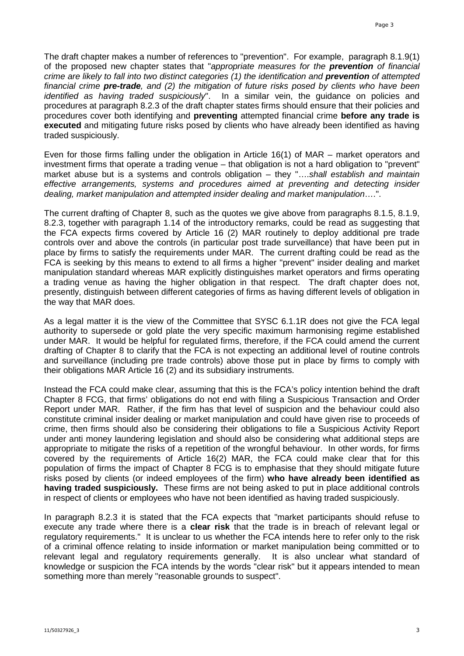The draft chapter makes a number of references to "prevention". For example, paragraph 8.1.9(1) of the proposed new chapter states that "*appropriate measures for the prevention of financial crime are likely to fall into two distinct categories (1) the identification and prevention of attempted financial crime pre-trade, and (2) the mitigation of future risks posed by clients who have been identified as having traded suspiciously*". In a similar vein, the guidance on policies and procedures at paragraph 8.2.3 of the draft chapter states firms should ensure that their policies and procedures cover both identifying and **preventing** attempted financial crime **before any trade is executed** and mitigating future risks posed by clients who have already been identified as having traded suspiciously.

Even for those firms falling under the obligation in Article 16(1) of MAR – market operators and investment firms that operate a trading venue – that obligation is not a hard obligation to "prevent" market abuse but is a systems and controls obligation – they "....shall establish and maintain *effective arrangements, systems and procedures aimed at preventing and detecting insider dealing, market manipulation and attempted insider dealing and market manipulation*….".

The current drafting of Chapter 8, such as the quotes we give above from paragraphs 8.1.5, 8.1.9, 8.2.3, together with paragraph 1.14 of the introductory remarks, could be read as suggesting that the FCA expects firms covered by Article 16 (2) MAR routinely to deploy additional pre trade controls over and above the controls (in particular post trade surveillance) that have been put in place by firms to satisfy the requirements under MAR. The current drafting could be read as the FCA is seeking by this means to extend to all firms a higher "prevent" insider dealing and market manipulation standard whereas MAR explicitly distinguishes market operators and firms operating a trading venue as having the higher obligation in that respect. The draft chapter does not, presently, distinguish between different categories of firms as having different levels of obligation in the way that MAR does.

As a legal matter it is the view of the Committee that SYSC 6.1.1R does not give the FCA legal authority to supersede or gold plate the very specific maximum harmonising regime established under MAR. It would be helpful for regulated firms, therefore, if the FCA could amend the current drafting of Chapter 8 to clarify that the FCA is not expecting an additional level of routine controls and surveillance (including pre trade controls) above those put in place by firms to comply with their obligations MAR Article 16 (2) and its subsidiary instruments.

Instead the FCA could make clear, assuming that this is the FCA's policy intention behind the draft Chapter 8 FCG, that firms' obligations do not end with filing a Suspicious Transaction and Order Report under MAR. Rather, if the firm has that level of suspicion and the behaviour could also constitute criminal insider dealing or market manipulation and could have given rise to proceeds of crime, then firms should also be considering their obligations to file a Suspicious Activity Report under anti money laundering legislation and should also be considering what additional steps are appropriate to mitigate the risks of a repetition of the wrongful behaviour. In other words, for firms covered by the requirements of Article 16(2) MAR, the FCA could make clear that for this population of firms the impact of Chapter 8 FCG is to emphasise that they should mitigate future risks posed by clients (or indeed employees of the firm) **who have already been identified as having traded suspiciously.** These firms are not being asked to put in place additional controls in respect of clients or employees who have not been identified as having traded suspiciously.

In paragraph 8.2.3 it is stated that the FCA expects that "market participants should refuse to execute any trade where there is a **clear risk** that the trade is in breach of relevant legal or regulatory requirements." It is unclear to us whether the FCA intends here to refer only to the risk of a criminal offence relating to inside information or market manipulation being committed or to relevant legal and regulatory requirements generally. It is also unclear what standard of knowledge or suspicion the FCA intends by the words "clear risk" but it appears intended to mean something more than merely "reasonable grounds to suspect".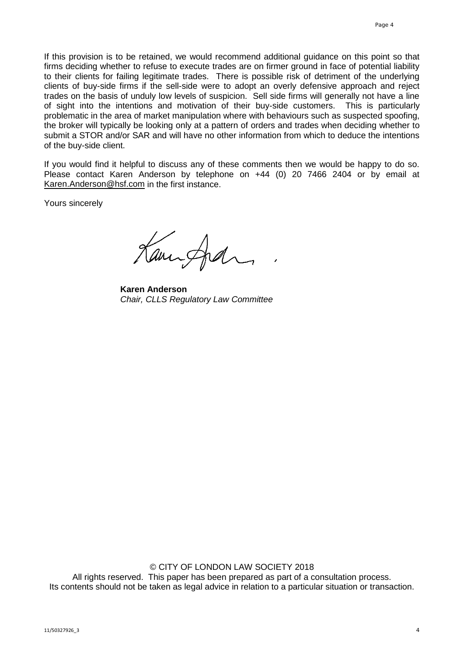If this provision is to be retained, we would recommend additional guidance on this point so that firms deciding whether to refuse to execute trades are on firmer ground in face of potential liability to their clients for failing legitimate trades. There is possible risk of detriment of the underlying clients of buy-side firms if the sell-side were to adopt an overly defensive approach and reject trades on the basis of unduly low levels of suspicion. Sell side firms will generally not have a line of sight into the intentions and motivation of their buy-side customers. This is particularly problematic in the area of market manipulation where with behaviours such as suspected spoofing, the broker will typically be looking only at a pattern of orders and trades when deciding whether to submit a STOR and/or SAR and will have no other information from which to deduce the intentions of the buy-side client.

If you would find it helpful to discuss any of these comments then we would be happy to do so. Please contact Karen Anderson by telephone on +44 (0) 20 7466 2404 or by email at [Karen.Anderson@hsf.com](mailto:Karen.Anderson@hsf.com) in the first instance.

Yours sincerely

Caningham

**Karen Anderson** *Chair, CLLS Regulatory Law Committee*

© CITY OF LONDON LAW SOCIETY 2018 All rights reserved. This paper has been prepared as part of a consultation process. Its contents should not be taken as legal advice in relation to a particular situation or transaction.